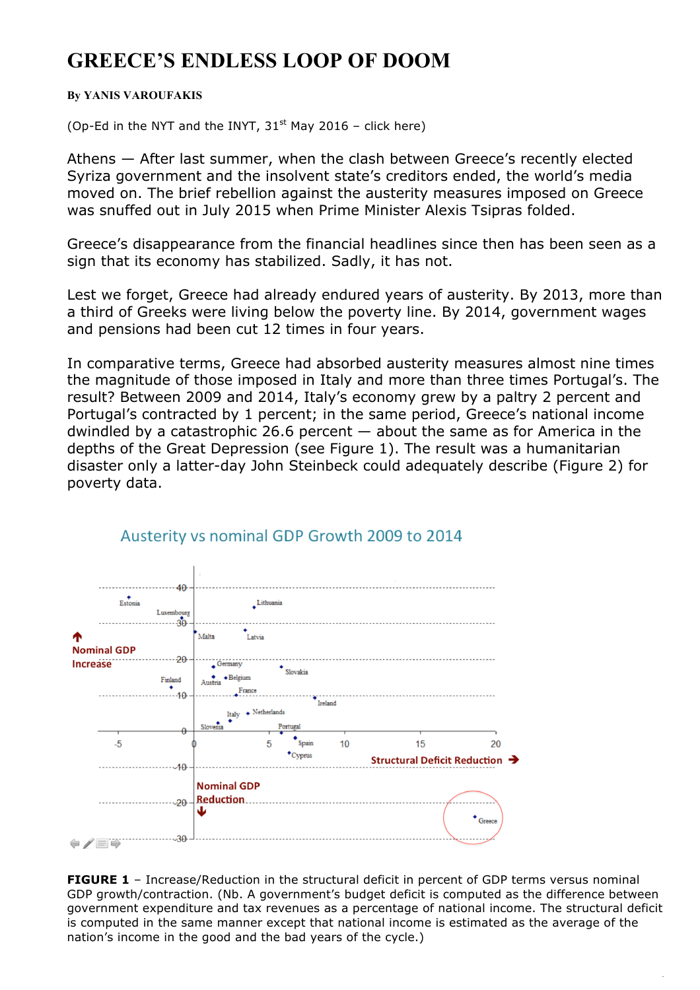## **GREECE'S ENDLESS LOOP OF DOOM**

## **By YANIS VAROUFAKIS**

(Op-Ed in the NYT and the INYT,  $31<sup>st</sup>$  May 2016 – click here)

Athens — After last summer, when the clash between Greece's recently elected Syriza government and the insolvent state's creditors ended, the world's media moved on. The brief rebellion against the austerity measures imposed on Greece was snuffed out in July 2015 when Prime Minister Alexis Tsipras folded.

Greece's disappearance from the financial headlines since then has been seen as a sign that its economy has stabilized. Sadly, it has not.

Lest we forget, Greece had already endured years of austerity. By 2013, more than a third of Greeks were living below the poverty line. By 2014, government wages and pensions had been cut 12 times in four years.

In comparative terms, Greece had absorbed austerity measures almost nine times the magnitude of those imposed in Italy and more than three times Portugal's. The result? Between 2009 and 2014, Italy's economy grew by a paltry 2 percent and Portugal's contracted by 1 percent; in the same period, Greece's national income dwindled by a catastrophic 26.6 percent — about the same as for America in the depths of the Great Depression (see Figure 1). The result was a humanitarian disaster only a latter-day John Steinbeck could adequately describe (Figure 2) for poverty data.



## Austerity vs nominal GDP Growth 2009 to 2014

**FIGURE 1** – Increase/Reduction in the structural deficit in percent of GDP terms versus nominal GDP growth/contraction. (Nb. A government's budget deficit is computed as the difference between government expenditure and tax revenues as a percentage of national income. The structural deficit is computed in the same manner except that national income is estimated as the average of the nation's income in the good and the bad years of the cycle.)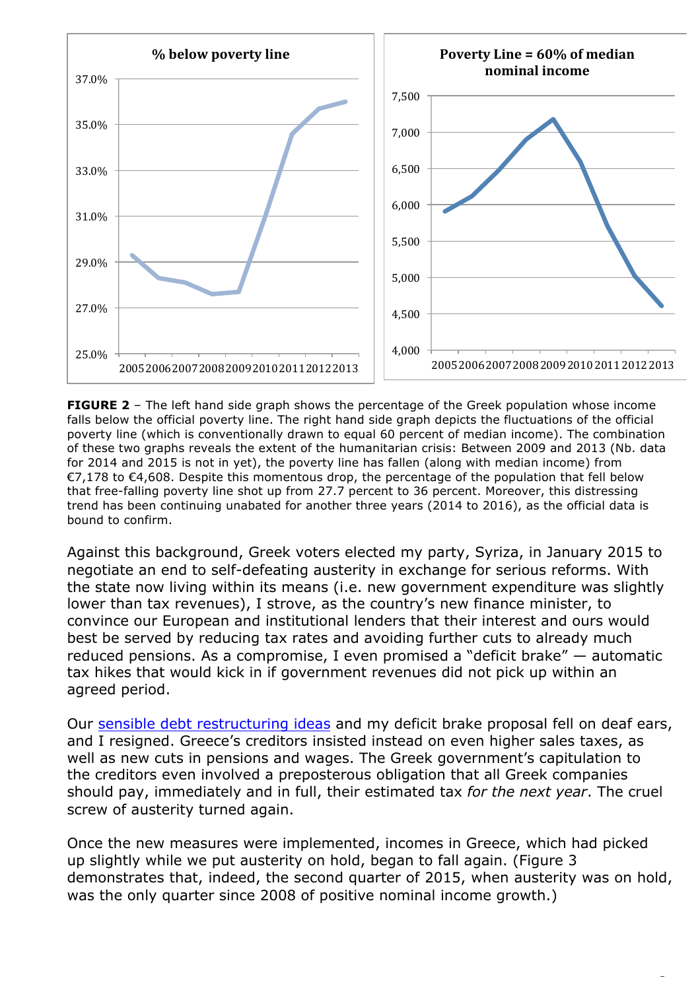

**FIGURE 2** – The left hand side graph shows the percentage of the Greek population whose income falls below the official poverty line. The right hand side graph depicts the fluctuations of the official poverty line (which is conventionally drawn to equal 60 percent of median income). The combination of these two graphs reveals the extent of the humanitarian crisis: Between 2009 and 2013 (Nb. data for 2014 and 2015 is not in yet), the poverty line has fallen (along with median income) from €7,178 to €4,608. Despite this momentous drop, the percentage of the population that fell below that free-falling poverty line shot up from 27.7 percent to 36 percent. Moreover, this distressing trend has been continuing unabated for another three years (2014 to 2016), as the official data is bound to confirm.

Against this background, Greek voters elected my party, Syriza, in January 2015 to negotiate an end to self-defeating austerity in exchange for serious reforms. With the state now living within its means (i.e. new government expenditure was slightly lower than tax revenues), I strove, as the country's new finance minister, to convince our European and institutional lenders that their interest and ours would best be served by reducing tax rates and avoiding further cuts to already much reduced pensions. As a compromise, I even promised a "deficit brake" — automatic tax hikes that would kick in if government revenues did not pick up within an agreed period.

Our sensible debt restructuring ideas and my deficit brake proposal fell on deaf ears, and I resigned. Greece's creditors insisted instead on even higher sales taxes, as well as new cuts in pensions and wages. The Greek government's capitulation to the creditors even involved a preposterous obligation that all Greek companies should pay, immediately and in full, their estimated tax *for the next year*. The cruel screw of austerity turned again.

Once the new measures were implemented, incomes in Greece, which had picked up slightly while we put austerity on hold, began to fall again. (Figure 3 demonstrates that, indeed, the second quarter of 2015, when austerity was on hold, was the only quarter since 2008 of positive nominal income growth.)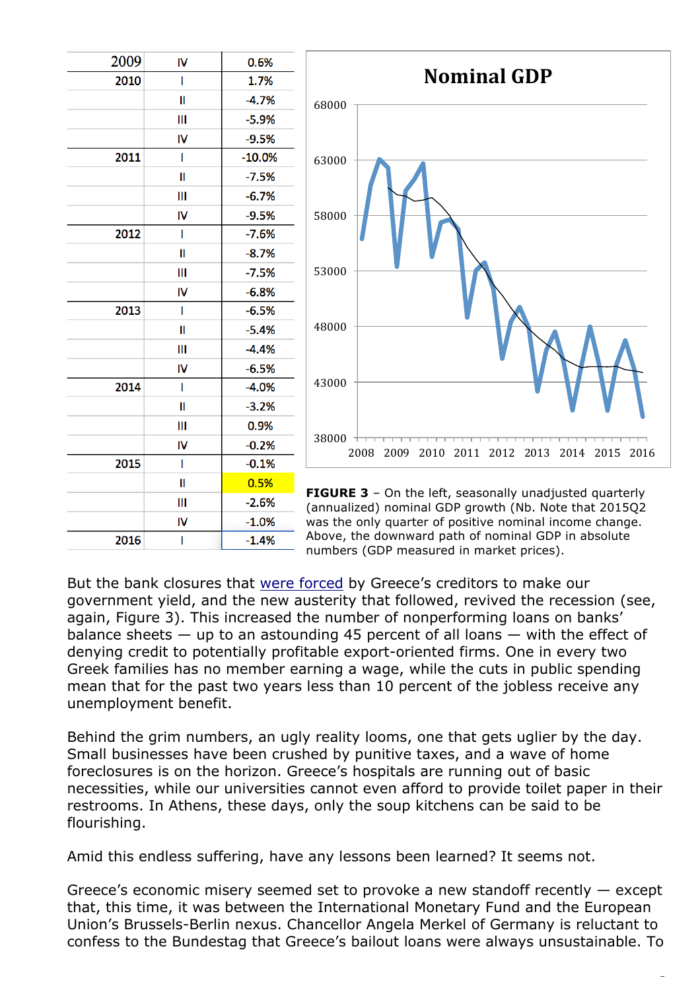| 2009 | IV           | 0.6%                            |
|------|--------------|---------------------------------|
| 2010 | I            | 1.7%                            |
|      | II           | $-4.7%$                         |
|      | Ш            | $-5.9%$                         |
|      | IV           | $-9.5%$                         |
| 2011 | ı            | $-10.0%$                        |
|      | $\mathbf{I}$ | $-7.5%$                         |
|      | Ш            | $-6.7%$                         |
|      | IV           | $-9.5%$                         |
| 2012 | I            | $-7.6%$                         |
|      | Π            | $-8.7%$                         |
|      | Ш            | $-7.5%$                         |
|      | IV           | $-6.8%$                         |
| 2013 | I            | $-6.5%$                         |
|      | II           | $-5.4%$                         |
|      | Ш            | $-4.4%$                         |
|      | IV           | $-6.5%$                         |
| 2014 | I            | $-4.0%$                         |
|      | II           | $-3.2%$                         |
|      | Ш            | 0.9%                            |
|      | IV           | $-0.2%$                         |
| 2015 | I            | $-0.1%$                         |
|      | II           | 0.5%<br>F                       |
|      | Ш            | $-2.6%$<br>$\overline{(\cdot)}$ |
|      | IV           | $-1.0%$<br>W                    |
| 2016 | I            | Α<br>$-1.4%$<br>n               |
|      |              |                                 |



**FIGURE 3** – On the left, seasonally unadjusted quarterly annualized) nominal GDP growth (Nb. Note that 2015Q2 was the only quarter of positive nominal income change. bove, the downward path of nominal GDP in absolute numbers (GDP measured in market prices).

But the bank closures that were forced by Greece's creditors to make our government yield, and the new austerity that followed, revived the recession (see, again, Figure 3). This increased the number of nonperforming loans on banks' balance sheets  $-$  up to an astounding 45 percent of all loans  $-$  with the effect of denying credit to potentially profitable export-oriented firms. One in every two Greek families has no member earning a wage, while the cuts in public spending mean that for the past two years less than 10 percent of the jobless receive any unemployment benefit.

Behind the grim numbers, an ugly reality looms, one that gets uglier by the day. Small businesses have been crushed by punitive taxes, and a wave of home foreclosures is on the horizon. Greece's hospitals are running out of basic necessities, while our universities cannot even afford to provide toilet paper in their restrooms. In Athens, these days, only the soup kitchens can be said to be flourishing.

Amid this endless suffering, have any lessons been learned? It seems not.

Greece's economic misery seemed set to provoke a new standoff recently — except that, this time, it was between the International Monetary Fund and the European Union's Brussels-Berlin nexus. Chancellor Angela Merkel of Germany is reluctant to confess to the Bundestag that Greece's bailout loans were always unsustainable. To